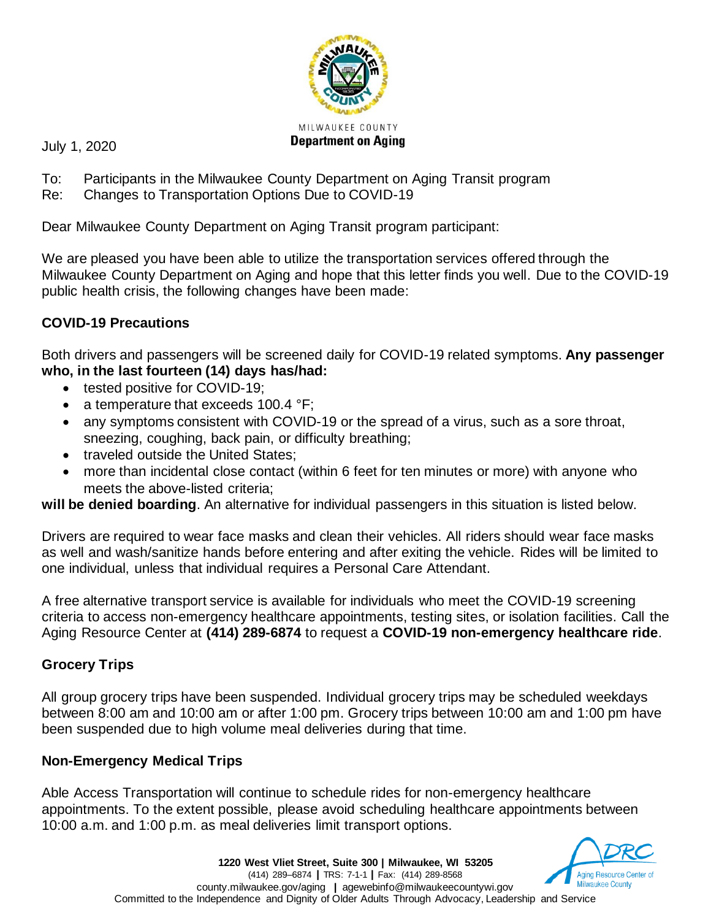

July 1, 2020

- To: Participants in the Milwaukee County Department on Aging Transit program
- Re: Changes to Transportation Options Due to COVID-19

Dear Milwaukee County Department on Aging Transit program participant:

We are pleased you have been able to utilize the transportation services offered through the Milwaukee County Department on Aging and hope that this letter finds you well. Due to the COVID-19 public health crisis, the following changes have been made:

# **COVID-19 Precautions**

Both drivers and passengers will be screened daily for COVID-19 related symptoms. **Any passenger who, in the last fourteen (14) days has/had:**

- tested positive for COVID-19;
- a temperature that exceeds 100.4 °F;
- any symptoms consistent with COVID-19 or the spread of a virus, such as a sore throat, sneezing, coughing, back pain, or difficulty breathing;
- traveled outside the United States;
- more than incidental close contact (within 6 feet for ten minutes or more) with anyone who meets the above-listed criteria;

**will be denied boarding**. An alternative for individual passengers in this situation is listed below.

Drivers are required to wear face masks and clean their vehicles. All riders should wear face masks as well and wash/sanitize hands before entering and after exiting the vehicle. Rides will be limited to one individual, unless that individual requires a Personal Care Attendant.

A free alternative transport service is available for individuals who meet the COVID-19 screening criteria to access non-emergency healthcare appointments, testing sites, or isolation facilities. Call the Aging Resource Center at **(414) 289-6874** to request a **COVID-19 non-emergency healthcare ride**.

# **Grocery Trips**

All group grocery trips have been suspended. Individual grocery trips may be scheduled weekdays between 8:00 am and 10:00 am or after 1:00 pm. Grocery trips between 10:00 am and 1:00 pm have been suspended due to high volume meal deliveries during that time.

# **Non-Emergency Medical Trips**

Able Access Transportation will continue to schedule rides for non-emergency healthcare appointments. To the extent possible, please avoid scheduling healthcare appointments between 10:00 a.m. and 1:00 p.m. as meal deliveries limit transport options.